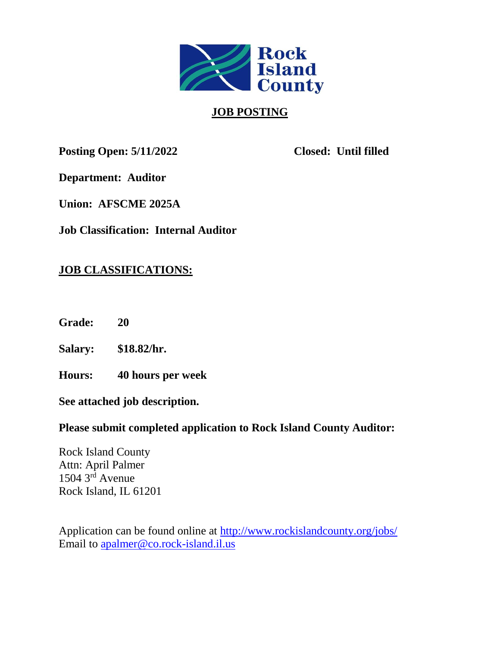

# **JOB POSTING**

**Posting Open: 5/11/2022 Closed: Until filled**

**Department: Auditor**

**Union: AFSCME 2025A**

**Job Classification: Internal Auditor**

# **JOB CLASSIFICATIONS:**

**Grade: 20**

**Salary: \$18.82/hr.**

**Hours: 40 hours per week**

**See attached job description.**

# **Please submit completed application to Rock Island County Auditor:**

Rock Island County Attn: April Palmer  $1504$   $3<sup>rd</sup>$  Avenue Rock Island, IL 61201

Application can be found online at<http://www.rockislandcounty.org/jobs/> Email to [apalmer@co.rock-island.il.us](mailto:apalmer@co.rock-island.il.us)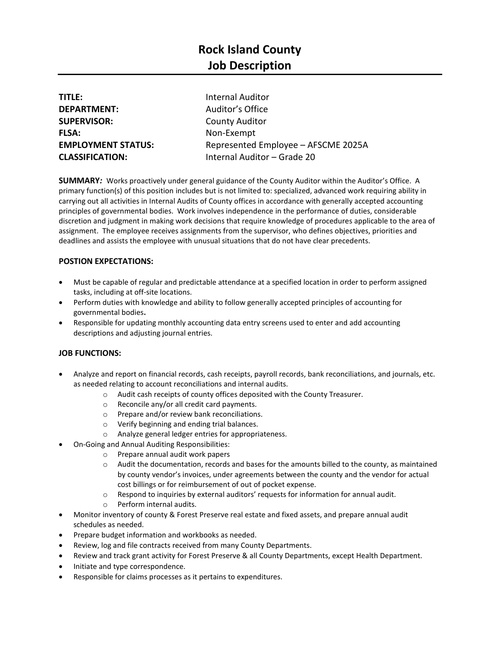| <b>TITLE:</b>             | <b>Internal Auditor</b>             |
|---------------------------|-------------------------------------|
| <b>DEPARTMENT:</b>        | Auditor's Office                    |
| <b>SUPERVISOR:</b>        | <b>County Auditor</b>               |
| <b>FLSA:</b>              | Non-Exempt                          |
| <b>EMPLOYMENT STATUS:</b> | Represented Employee - AFSCME 2025A |
| <b>CLASSIFICATION:</b>    | Internal Auditor - Grade 20         |

**SUMMARY***:* Works proactively under general guidance of the County Auditor within the Auditor's Office. A primary function(s) of this position includes but is not limited to: specialized, advanced work requiring ability in carrying out all activities in Internal Audits of County offices in accordance with generally accepted accounting principles of governmental bodies. Work involves independence in the performance of duties, considerable discretion and judgment in making work decisions that require knowledge of procedures applicable to the area of assignment. The employee receives assignments from the supervisor, who defines objectives, priorities and deadlines and assists the employee with unusual situations that do not have clear precedents.

## **POSTION EXPECTATIONS:**

- Must be capable of regular and predictable attendance at a specified location in order to perform assigned tasks, including at off-site locations.
- Perform duties with knowledge and ability to follow generally accepted principles of accounting for governmental bodies**.**
- Responsible for updating monthly accounting data entry screens used to enter and add accounting descriptions and adjusting journal entries.

#### **JOB FUNCTIONS:**

- Analyze and report on financial records, cash receipts, payroll records, bank reconciliations, and journals, etc. as needed relating to account reconciliations and internal audits.
	- o Audit cash receipts of county offices deposited with the County Treasurer.
	- o Reconcile any/or all credit card payments.
	- o Prepare and/or review bank reconciliations.
	- o Verify beginning and ending trial balances.
	- o Analyze general ledger entries for appropriateness.
- On-Going and Annual Auditing Responsibilities:
	- o Prepare annual audit work papers
		- $\circ$  Audit the documentation, records and bases for the amounts billed to the county, as maintained by county vendor's invoices, under agreements between the county and the vendor for actual cost billings or for reimbursement of out of pocket expense.
		- $\circ$  Respond to inquiries by external auditors' requests for information for annual audit.
		- o Perform internal audits.
- Monitor inventory of county & Forest Preserve real estate and fixed assets, and prepare annual audit schedules as needed.
- Prepare budget information and workbooks as needed.
- Review, log and file contracts received from many County Departments.
- Review and track grant activity for Forest Preserve & all County Departments, except Health Department.
- Initiate and type correspondence.
- Responsible for claims processes as it pertains to expenditures.